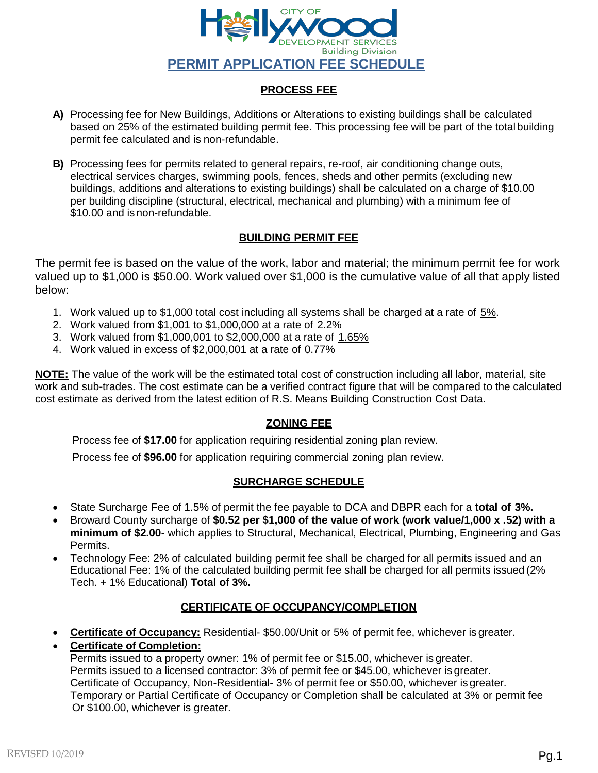

### **PROCESS FEE**

- **A)** Processing fee for New Buildings, Additions or Alterations to existing buildings shall be calculated based on 25% of the estimated building permit fee. This processing fee will be part of the total building permit fee calculated and is non-refundable.
- **B)** Processing fees for permits related to general repairs, re-roof, air conditioning change outs, electrical services charges, swimming pools, fences, sheds and other permits (excluding new buildings, additions and alterations to existing buildings) shall be calculated on a charge of \$10.00 per building discipline (structural, electrical, mechanical and plumbing) with a minimum fee of \$10.00 and is non-refundable.

### **BUILDING PERMIT FEE**

The permit fee is based on the value of the work, labor and material; the minimum permit fee for work valued up to \$1,000 is \$50.00. Work valued over \$1,000 is the cumulative value of all that apply listed below:

- 1. Work valued up to \$1,000 total cost including all systems shall be charged at a rate of 5%.
- 2. Work valued from \$1,001 to \$1,000,000 at a rate of 2.2%
- 3. Work valued from \$1,000,001 to \$2,000,000 at a rate of 1.65%
- 4. Work valued in excess of \$2,000,001 at a rate of 0.77%

**NOTE:** The value of the work will be the estimated total cost of construction including all labor, material, site work and sub-trades. The cost estimate can be a verified contract figure that will be compared to the calculated cost estimate as derived from the latest edition of R.S. Means Building Construction Cost Data.

### **ZONING FEE**

Process fee of **\$17.00** for application requiring residential zoning plan review.

Process fee of **\$96.00** for application requiring commercial zoning plan review.

#### **SURCHARGE SCHEDULE**

- State Surcharge Fee of 1.5% of permit the fee payable to DCA and DBPR each for a **total of 3%.**
- Broward County surcharge of **\$0.52 per \$1,000 of the value of work (work value/1,000 x .52) with a minimum of \$2.00**- which applies to Structural, Mechanical, Electrical, Plumbing, Engineering and Gas Permits.
- Technology Fee: 2% of calculated building permit fee shall be charged for all permits issued and an Educational Fee: 1% of the calculated building permit fee shall be charged for all permits issued (2% Tech. + 1% Educational) **Total of 3%.**

### **CERTIFICATE OF OCCUPANCY/COMPLETION**

**Certificate of Occupancy:** Residential- \$50.00/Unit or 5% of permit fee, whichever is greater.

# **Certificate of Completion:**

Permits issued to a property owner: 1% of permit fee or \$15.00, whichever is greater. Permits issued to a licensed contractor: 3% of permit fee or \$45.00, whichever is greater. Certificate of Occupancy, Non-Residential- 3% of permit fee or \$50.00, whichever is greater. Temporary or Partial Certificate of Occupancy or Completion shall be calculated at 3% or permit fee Or \$100.00, whichever is greater.